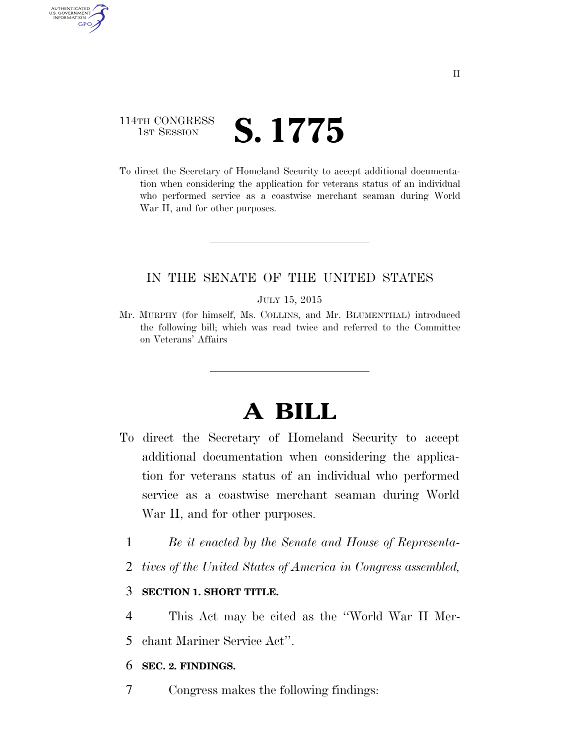# 114TH CONGRESS **IST SESSION S. 1775**

AUTHENTICATED U.S. GOVERNMENT **GPO** 

> To direct the Secretary of Homeland Security to accept additional documentation when considering the application for veterans status of an individual who performed service as a coastwise merchant seaman during World War II, and for other purposes.

## IN THE SENATE OF THE UNITED STATES

### JULY 15, 2015

Mr. MURPHY (for himself, Ms. COLLINS, and Mr. BLUMENTHAL) introduced the following bill; which was read twice and referred to the Committee on Veterans' Affairs

# **A BILL**

- To direct the Secretary of Homeland Security to accept additional documentation when considering the application for veterans status of an individual who performed service as a coastwise merchant seaman during World War II, and for other purposes.
	- 1 *Be it enacted by the Senate and House of Representa-*
	- 2 *tives of the United States of America in Congress assembled,*

### 3 **SECTION 1. SHORT TITLE.**

- 4 This Act may be cited as the ''World War II Mer-
- 5 chant Mariner Service Act''.

### 6 **SEC. 2. FINDINGS.**

7 Congress makes the following findings: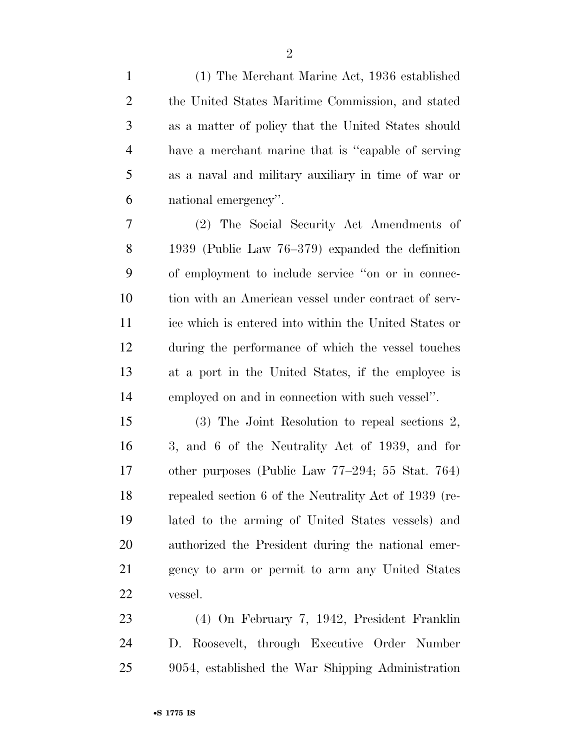| $\mathbf{1}$   | (1) The Merchant Marine Act, 1936 established         |
|----------------|-------------------------------------------------------|
| $\overline{2}$ | the United States Maritime Commission, and stated     |
| 3              | as a matter of policy that the United States should   |
| $\overline{4}$ | have a merchant marine that is "capable of serving    |
| 5              | as a naval and military auxiliary in time of war or   |
| 6              | national emergency".                                  |
| 7              | (2) The Social Security Act Amendments of             |
| 8              | 1939 (Public Law $76-379$ ) expanded the definition   |
| 9              | of employment to include service "on or in connec-    |
| 10             | tion with an American vessel under contract of serv-  |
| 11             | ice which is entered into within the United States or |
| 12             | during the performance of which the vessel touches    |
| 13             | at a port in the United States, if the employee is    |
| 14             | employed on and in connection with such vessel".      |
| 15             | (3) The Joint Resolution to repeal sections 2,        |
| 16             | 3, and 6 of the Neutrality Act of 1939, and for       |
| 17             | other purposes (Public Law 77–294; 55 Stat. 764)      |
| 18             | repealed section 6 of the Neutrality Act of 1939 (re- |
| 19             | lated to the arming of United States vessels) and     |
| 20             | authorized the President during the national emer-    |
| 21             | gency to arm or permit to arm any United States       |
| 22             | vessel.                                               |
| 23             | (4) On February 7, 1942, President Franklin           |
| 24             | D. Roosevelt, through Executive Order Number          |

9054, established the War Shipping Administration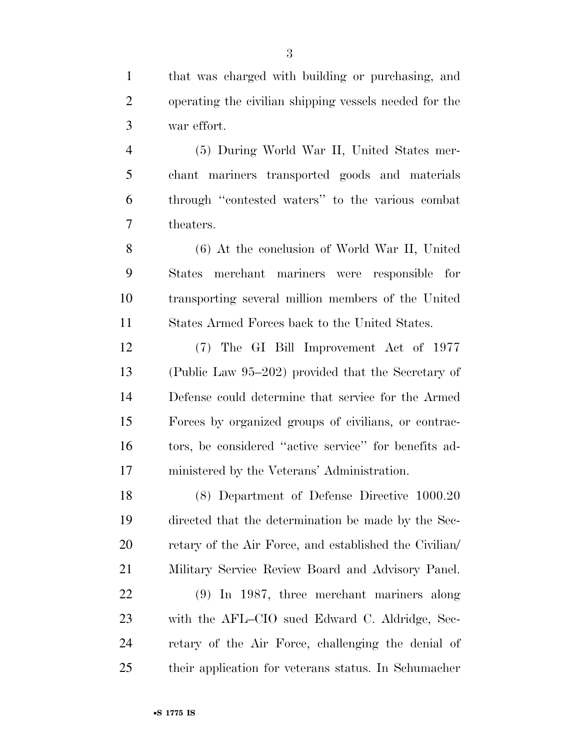that was charged with building or purchasing, and operating the civilian shipping vessels needed for the war effort.

 (5) During World War II, United States mer- chant mariners transported goods and materials through ''contested waters'' to the various combat theaters.

 (6) At the conclusion of World War II, United States merchant mariners were responsible for transporting several million members of the United States Armed Forces back to the United States.

 (7) The GI Bill Improvement Act of 1977 (Public Law 95–202) provided that the Secretary of Defense could determine that service for the Armed Forces by organized groups of civilians, or contrac- tors, be considered ''active service'' for benefits ad-ministered by the Veterans' Administration.

 (8) Department of Defense Directive 1000.20 directed that the determination be made by the Sec- retary of the Air Force, and established the Civilian/ Military Service Review Board and Advisory Panel.

 (9) In 1987, three merchant mariners along with the AFL–CIO sued Edward C. Aldridge, Sec- retary of the Air Force, challenging the denial of their application for veterans status. In Schumacher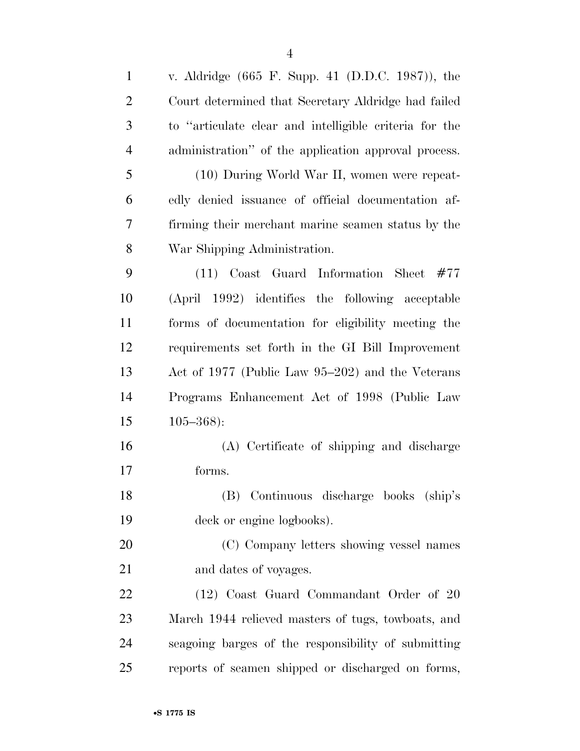| $\mathbf{1}$   | v. Aldridge (665 F. Supp. 41 (D.D.C. 1987)), the       |
|----------------|--------------------------------------------------------|
| $\overline{2}$ | Court determined that Secretary Aldridge had failed    |
| 3              | to "articulate clear and intelligible criteria for the |
| $\overline{4}$ | administration" of the application approval process.   |
| 5              | (10) During World War II, women were repeat-           |
| 6              | edly denied issuance of official documentation af-     |
| 7              | firming their merchant marine seamen status by the     |
| 8              | War Shipping Administration.                           |
| 9              | $(11)$ Coast Guard Information Sheet #77               |
| 10             | (April 1992) identifies the following acceptable       |
| 11             | forms of documentation for eligibility meeting the     |
| 12             | requirements set forth in the GI Bill Improvement      |
| 13             | Act of 1977 (Public Law 95–202) and the Veterans       |
| 14             | Programs Enhancement Act of 1998 (Public Law           |
| 15             | $105 - 368$ :                                          |
| 16             | (A) Certificate of shipping and discharge              |
| 17             | forms.                                                 |
| 18             | (B) Continuous discharge books (ship's                 |
| 19             | deck or engine logbooks).                              |
| 20             | (C) Company letters showing vessel names               |
| 21             | and dates of voyages.                                  |
| 22             | (12) Coast Guard Commandant Order of 20                |
| 23             | March 1944 relieved masters of tugs, towboats, and     |
| 24             | seagoing barges of the responsibility of submitting    |
| 25             | reports of seamen shipped or discharged on forms,      |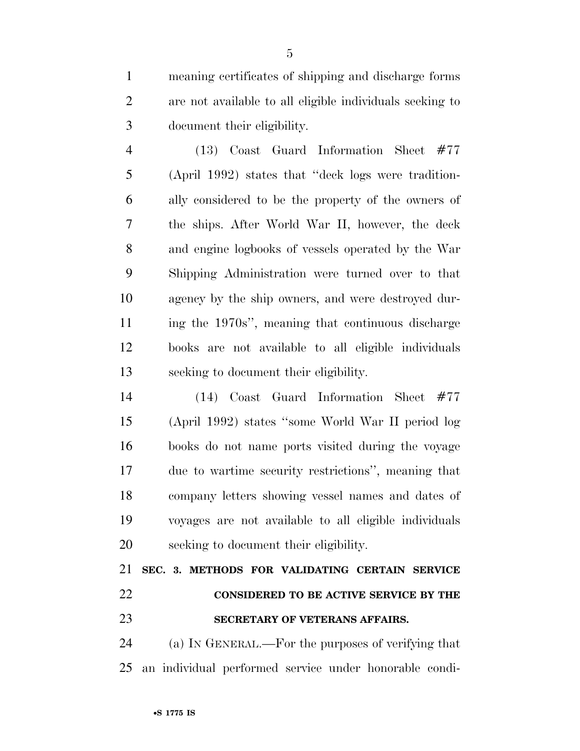meaning certificates of shipping and discharge forms are not available to all eligible individuals seeking to document their eligibility.

 (13) Coast Guard Information Sheet #77 (April 1992) states that ''deck logs were tradition- ally considered to be the property of the owners of the ships. After World War II, however, the deck and engine logbooks of vessels operated by the War Shipping Administration were turned over to that agency by the ship owners, and were destroyed dur- ing the 1970s'', meaning that continuous discharge books are not available to all eligible individuals seeking to document their eligibility.

 (14) Coast Guard Information Sheet #77 (April 1992) states ''some World War II period log books do not name ports visited during the voyage due to wartime security restrictions'', meaning that company letters showing vessel names and dates of voyages are not available to all eligible individuals seeking to document their eligibility.

 **SEC. 3. METHODS FOR VALIDATING CERTAIN SERVICE CONSIDERED TO BE ACTIVE SERVICE BY THE SECRETARY OF VETERANS AFFAIRS.** 

 (a) IN GENERAL.—For the purposes of verifying that an individual performed service under honorable condi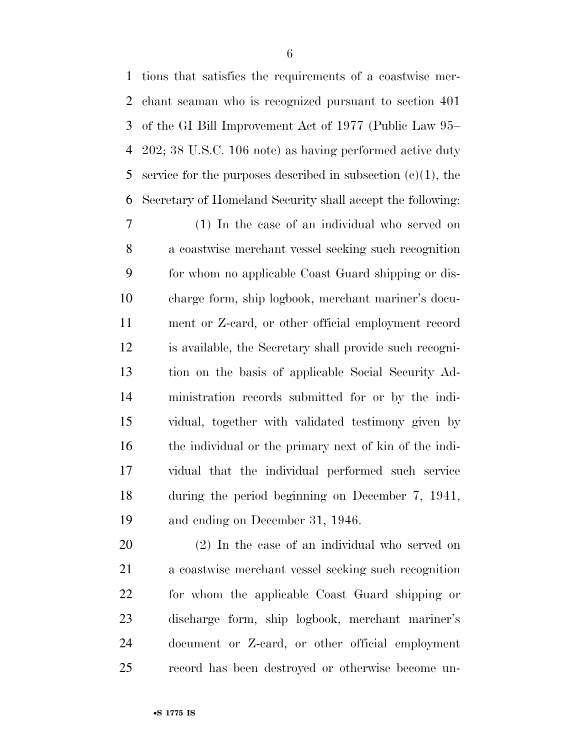tions that satisfies the requirements of a coastwise mer- chant seaman who is recognized pursuant to section 401 of the GI Bill Improvement Act of 1977 (Public Law 95– 202; 38 U.S.C. 106 note) as having performed active duty 5 service for the purposes described in subsection  $(e)(1)$ , the Secretary of Homeland Security shall accept the following:

 (1) In the case of an individual who served on a coastwise merchant vessel seeking such recognition for whom no applicable Coast Guard shipping or dis- charge form, ship logbook, merchant mariner's docu- ment or Z-card, or other official employment record is available, the Secretary shall provide such recogni- tion on the basis of applicable Social Security Ad- ministration records submitted for or by the indi- vidual, together with validated testimony given by the individual or the primary next of kin of the indi- vidual that the individual performed such service during the period beginning on December 7, 1941, and ending on December 31, 1946.

 (2) In the case of an individual who served on a coastwise merchant vessel seeking such recognition for whom the applicable Coast Guard shipping or discharge form, ship logbook, merchant mariner's document or Z-card, or other official employment record has been destroyed or otherwise become un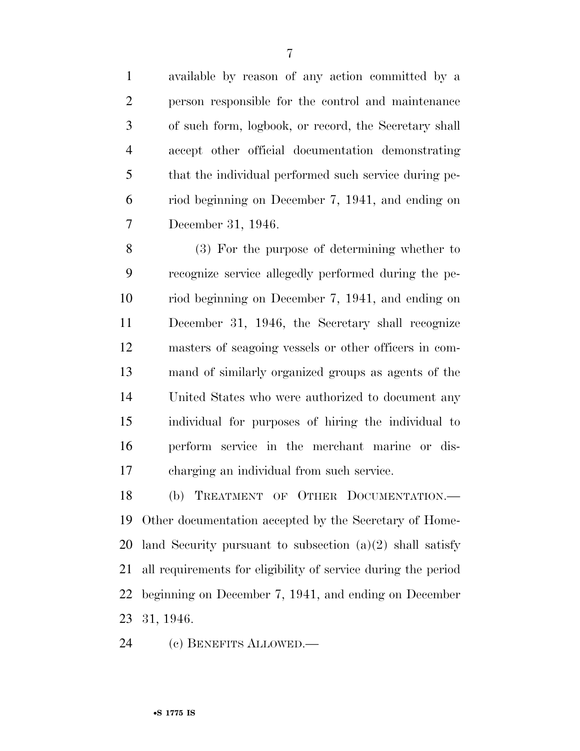available by reason of any action committed by a person responsible for the control and maintenance of such form, logbook, or record, the Secretary shall accept other official documentation demonstrating that the individual performed such service during pe- riod beginning on December 7, 1941, and ending on December 31, 1946.

 (3) For the purpose of determining whether to recognize service allegedly performed during the pe- riod beginning on December 7, 1941, and ending on December 31, 1946, the Secretary shall recognize masters of seagoing vessels or other officers in com- mand of similarly organized groups as agents of the United States who were authorized to document any individual for purposes of hiring the individual to perform service in the merchant marine or dis-charging an individual from such service.

 (b) TREATMENT OF OTHER DOCUMENTATION.— Other documentation accepted by the Secretary of Home- land Security pursuant to subsection (a)(2) shall satisfy all requirements for eligibility of service during the period beginning on December 7, 1941, and ending on December 31, 1946.

(c) BENEFITS ALLOWED.—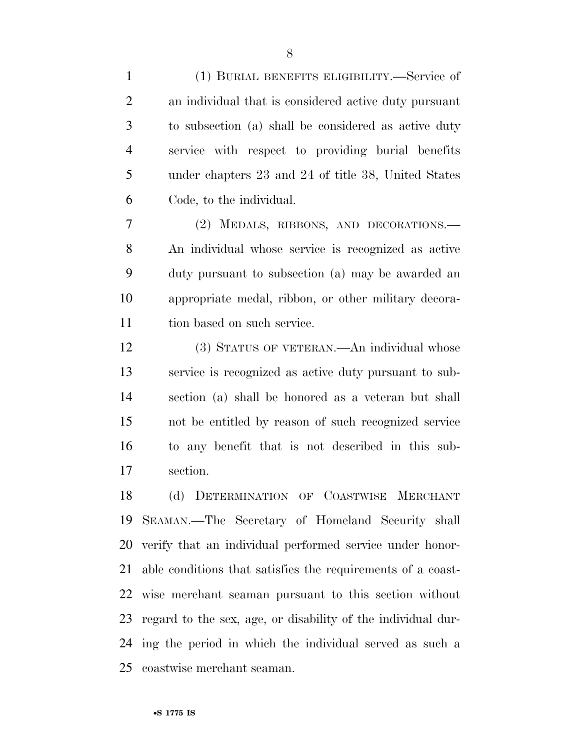(1) BURIAL BENEFITS ELIGIBILITY.—Service of an individual that is considered active duty pursuant to subsection (a) shall be considered as active duty service with respect to providing burial benefits under chapters 23 and 24 of title 38, United States Code, to the individual.

 (2) MEDALS, RIBBONS, AND DECORATIONS.— An individual whose service is recognized as active duty pursuant to subsection (a) may be awarded an appropriate medal, ribbon, or other military decora-tion based on such service.

 (3) STATUS OF VETERAN.—An individual whose service is recognized as active duty pursuant to sub- section (a) shall be honored as a veteran but shall not be entitled by reason of such recognized service to any benefit that is not described in this sub-section.

 (d) DETERMINATION OF COASTWISE MERCHANT SEAMAN.—The Secretary of Homeland Security shall verify that an individual performed service under honor- able conditions that satisfies the requirements of a coast- wise merchant seaman pursuant to this section without regard to the sex, age, or disability of the individual dur- ing the period in which the individual served as such a coastwise merchant seaman.